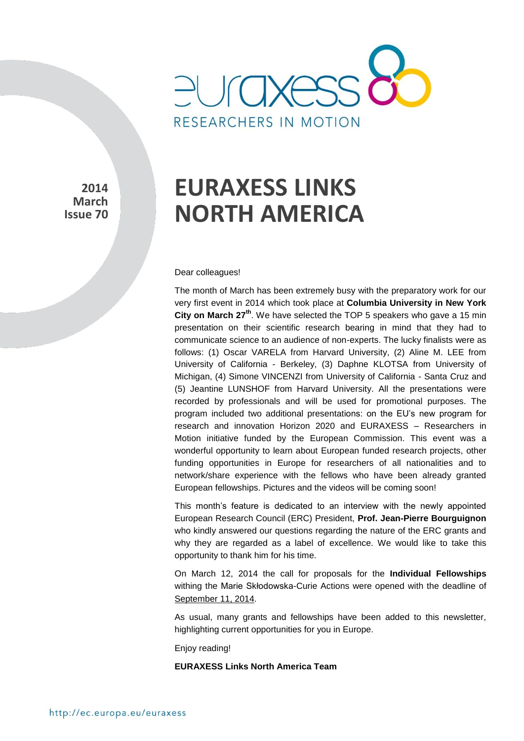

**2014 March Issue 70** 

# **EURAXESS LINKS NORTH AMERICA**

Dear colleagues!

The month of March has been extremely busy with the preparatory work for our very first event in 2014 which took place at **Columbia University in New York City on March 27th**. We have selected the TOP 5 speakers who gave a 15 min presentation on their scientific research bearing in mind that they had to communicate science to an audience of non-experts. The lucky finalists were as follows: (1) Oscar VARELA from Harvard University, (2) Aline M. LEE from University of California - Berkeley, (3) Daphne KLOTSA from University of Michigan, (4) Simone VINCENZI from University of California - Santa Cruz and (5) Jeantine LUNSHOF from Harvard University. All the presentations were recorded by professionals and will be used for promotional purposes. The program included two additional presentations: on the EU's new program for research and innovation Horizon 2020 and EURAXESS – Researchers in Motion initiative funded by the European Commission. This event was a wonderful opportunity to learn about European funded research projects, other funding opportunities in Europe for researchers of all nationalities and to network/share experience with the fellows who have been already granted European fellowships. Pictures and the videos will be coming soon!

This month's feature is dedicated to an interview with the newly appointed European Research Council (ERC) President, **Prof. Jean-Pierre Bourguignon** who kindly answered our questions regarding the nature of the ERC grants and why they are regarded as a label of excellence. We would like to take this opportunity to thank him for his time.

On March 12, 2014 the call for proposals for the **Individual Fellowships** withing the Marie Skłodowska-Curie Actions were opened with the deadline of September 11, 2014.

As usual, many grants and fellowships have been added to this newsletter, highlighting current opportunities for you in Europe.

Enjoy reading!

#### **EURAXESS Links North America Team**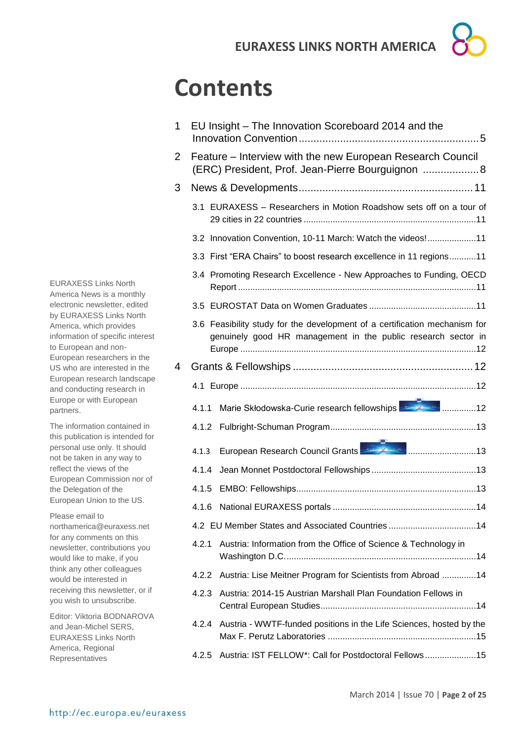# **Contents**

| 1 |                                                                                                                 | EU Insight - The Innovation Scoreboard 2014 and the                                                                                         |  |  |
|---|-----------------------------------------------------------------------------------------------------------------|---------------------------------------------------------------------------------------------------------------------------------------------|--|--|
| 2 | Feature - Interview with the new European Research Council<br>(ERC) President, Prof. Jean-Pierre Bourguignon  8 |                                                                                                                                             |  |  |
| 3 |                                                                                                                 |                                                                                                                                             |  |  |
|   |                                                                                                                 | 3.1 EURAXESS - Researchers in Motion Roadshow sets off on a tour of                                                                         |  |  |
|   |                                                                                                                 | 3.2 Innovation Convention, 10-11 March: Watch the videos!11                                                                                 |  |  |
|   |                                                                                                                 | 3.3 First "ERA Chairs" to boost research excellence in 11 regions11                                                                         |  |  |
|   |                                                                                                                 | 3.4 Promoting Research Excellence - New Approaches to Funding, OECD                                                                         |  |  |
|   |                                                                                                                 |                                                                                                                                             |  |  |
|   |                                                                                                                 | 3.6 Feasibility study for the development of a certification mechanism for<br>genuinely good HR management in the public research sector in |  |  |
| 4 |                                                                                                                 |                                                                                                                                             |  |  |
|   |                                                                                                                 |                                                                                                                                             |  |  |
|   | 4.1.1                                                                                                           | Marie Skłodowska-Curie research fellowships <b>Alle Reverse Marie Skłodowska</b> -Curie research fellowships                                |  |  |
|   |                                                                                                                 |                                                                                                                                             |  |  |
|   | 4.1.3                                                                                                           | European Research Council Grants <b>Expansion Council</b> 3                                                                                 |  |  |
|   | 4.1.4                                                                                                           |                                                                                                                                             |  |  |
|   | 4.1.5                                                                                                           |                                                                                                                                             |  |  |
|   | 4.1.6                                                                                                           |                                                                                                                                             |  |  |
|   | 4.2 EU Member States and Associated Countries 14                                                                |                                                                                                                                             |  |  |
|   | 4.2.1                                                                                                           | Austria: Information from the Office of Science & Technology in                                                                             |  |  |
|   |                                                                                                                 | 4.2.2 Austria: Lise Meitner Program for Scientists from Abroad 14                                                                           |  |  |
|   | 4.2.3                                                                                                           | Austria: 2014-15 Austrian Marshall Plan Foundation Fellows in                                                                               |  |  |
|   | 4.2.4                                                                                                           | Austria - WWTF-funded positions in the Life Sciences, hosted by the                                                                         |  |  |
|   | 4.2.5                                                                                                           | Austria: IST FELLOW*: Call for Postdoctoral Fellows15                                                                                       |  |  |

EURAXESS Links North America News is a monthly electronic newsletter, edited by EURAXESS Links North America, which provides information of specific interest to European and non-European researchers in the US who are interested in the European research landscape and conducting research in Europe or with European partners.

The information contained in this publication is intended for personal use only. It should not be taken in any way to reflect the views of the European Commission nor of the Delegation of the European Union to the US.

Please email to northamerica@euraxess.net for any comments on this newsletter, contributions you would like to make, if you think any other colleagues would be interested in receiving this newsletter, or if you wish to unsubscribe.

Editor: Viktoria BODNAROVA and Jean-Michel SERS, EURAXESS Links North America, Regional Representatives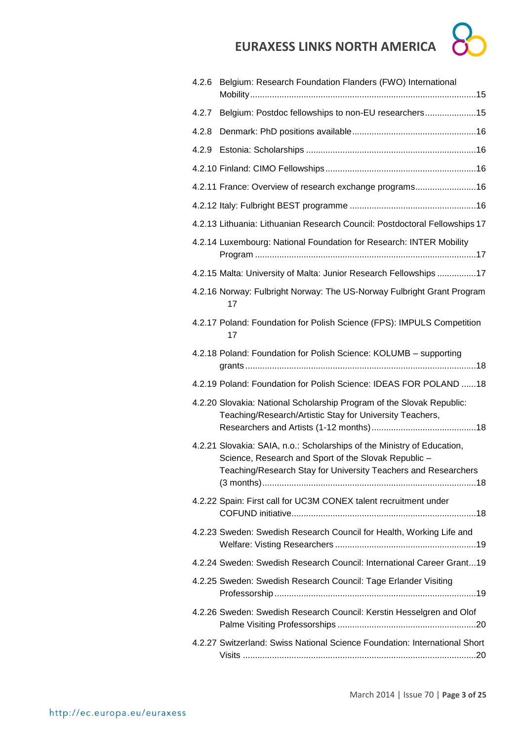

| 4.2.6 | Belgium: Research Foundation Flanders (FWO) International                                                                                                                                         |
|-------|---------------------------------------------------------------------------------------------------------------------------------------------------------------------------------------------------|
|       |                                                                                                                                                                                                   |
| 4.2.7 | Belgium: Postdoc fellowships to non-EU researchers15                                                                                                                                              |
| 4.2.8 |                                                                                                                                                                                                   |
| 4.2.9 |                                                                                                                                                                                                   |
|       |                                                                                                                                                                                                   |
|       | 4.2.11 France: Overview of research exchange programs16                                                                                                                                           |
|       |                                                                                                                                                                                                   |
|       | 4.2.13 Lithuania: Lithuanian Research Council: Postdoctoral Fellowships 17                                                                                                                        |
|       | 4.2.14 Luxembourg: National Foundation for Research: INTER Mobility                                                                                                                               |
|       | 4.2.15 Malta: University of Malta: Junior Research Fellowships 17                                                                                                                                 |
|       | 4.2.16 Norway: Fulbright Norway: The US-Norway Fulbright Grant Program<br>17                                                                                                                      |
|       | 4.2.17 Poland: Foundation for Polish Science (FPS): IMPULS Competition<br>17                                                                                                                      |
|       | 4.2.18 Poland: Foundation for Polish Science: KOLUMB - supporting                                                                                                                                 |
|       | 4.2.19 Poland: Foundation for Polish Science: IDEAS FOR POLAND 18                                                                                                                                 |
|       | 4.2.20 Slovakia: National Scholarship Program of the Slovak Republic:<br>Teaching/Research/Artistic Stay for University Teachers,                                                                 |
|       | 4.2.21 Slovakia: SAIA, n.o.: Scholarships of the Ministry of Education,<br>Science, Research and Sport of the Slovak Republic -<br>Teaching/Research Stay for University Teachers and Researchers |
|       | 4.2.22 Spain: First call for UC3M CONEX talent recruitment under                                                                                                                                  |
|       | 4.2.23 Sweden: Swedish Research Council for Health, Working Life and                                                                                                                              |
|       | 4.2.24 Sweden: Swedish Research Council: International Career Grant19                                                                                                                             |
|       | 4.2.25 Sweden: Swedish Research Council: Tage Erlander Visiting                                                                                                                                   |
|       | 4.2.26 Sweden: Swedish Research Council: Kerstin Hesselgren and Olof                                                                                                                              |
|       | 4.2.27 Switzerland: Swiss National Science Foundation: International Short                                                                                                                        |
|       |                                                                                                                                                                                                   |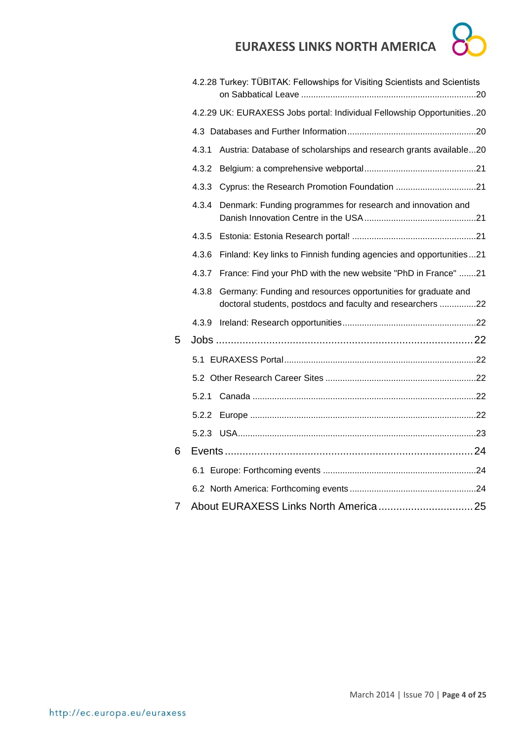

|   |       | 4.2.28 Turkey: TÜBITAK: Fellowships for Visiting Scientists and Scientists                                                  |  |
|---|-------|-----------------------------------------------------------------------------------------------------------------------------|--|
|   |       | 4.2.29 UK: EURAXESS Jobs portal: Individual Fellowship Opportunities20                                                      |  |
|   |       |                                                                                                                             |  |
|   | 4.3.1 | Austria: Database of scholarships and research grants available20                                                           |  |
|   | 4.3.2 |                                                                                                                             |  |
|   | 4.3.3 |                                                                                                                             |  |
|   | 4.3.4 | Denmark: Funding programmes for research and innovation and                                                                 |  |
|   | 4.3.5 |                                                                                                                             |  |
|   | 4.3.6 | Finland: Key links to Finnish funding agencies and opportunities21                                                          |  |
|   | 4.3.7 | France: Find your PhD with the new website "PhD in France" 21                                                               |  |
|   | 4.3.8 | Germany: Funding and resources opportunities for graduate and<br>doctoral students, postdocs and faculty and researchers 22 |  |
|   |       |                                                                                                                             |  |
| 5 |       |                                                                                                                             |  |
|   |       |                                                                                                                             |  |
|   |       |                                                                                                                             |  |
|   |       |                                                                                                                             |  |
|   | 5.2.2 |                                                                                                                             |  |
|   |       |                                                                                                                             |  |
| 6 |       |                                                                                                                             |  |
|   |       |                                                                                                                             |  |
|   |       |                                                                                                                             |  |
| 7 |       |                                                                                                                             |  |
|   |       |                                                                                                                             |  |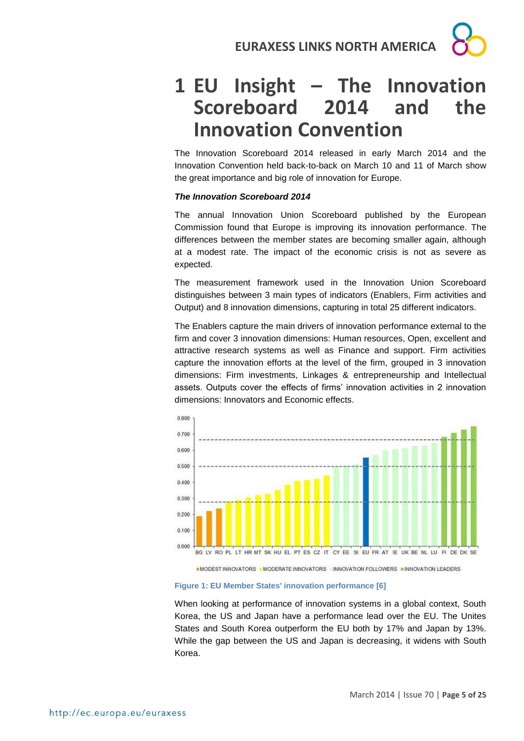# **1 EU Insight – The Innovation Scoreboard 2014 and the Innovation Convention**

The Innovation Scoreboard 2014 released in early March 2014 and the Innovation Convention held back-to-back on March 10 and 11 of March show the great importance and big role of innovation for Europe.

#### *The Innovation Scoreboard 2014*

The annual Innovation Union Scoreboard published by the European Commission found that Europe is improving its innovation performance. The differences between the member states are becoming smaller again, although at a modest rate. The impact of the economic crisis is not as severe as expected.

The measurement framework used in the Innovation Union Scoreboard distinguishes between 3 main types of indicators (Enablers, Firm activities and Output) and 8 innovation dimensions, capturing in total 25 different indicators.

The Enablers capture the main drivers of innovation performance external to the firm and cover 3 innovation dimensions: Human resources, Open, excellent and attractive research systems as well as Finance and support. Firm activities capture the innovation efforts at the level of the firm, grouped in 3 innovation dimensions: Firm investments, Linkages & entrepreneurship and Intellectual assets. Outputs cover the effects of firms' innovation activities in 2 innovation dimensions: Innovators and Economic effects.



■ MODEST INNOVATORS · MODERATE INNOVATORS · INNOVATION FOLLOWERS · INNOVATION LEADERS

#### **Figure 1: EU Member States' innovation performance [6]**

When looking at performance of innovation systems in a global context, South Korea, the US and Japan have a performance lead over the EU. The Unites States and South Korea outperform the EU both by 17% and Japan by 13%. While the gap between the US and Japan is decreasing, it widens with South Korea.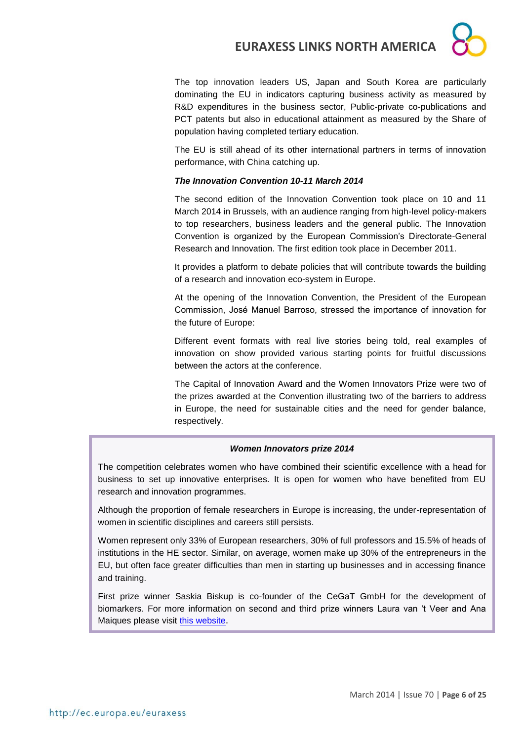

The top innovation leaders US, Japan and South Korea are particularly dominating the EU in indicators capturing business activity as measured by R&D expenditures in the business sector, Public-private co-publications and PCT patents but also in educational attainment as measured by the Share of population having completed tertiary education.

The EU is still ahead of its other international partners in terms of innovation performance, with China catching up.

#### *The Innovation Convention 10-11 March 2014*

The second edition of the Innovation Convention took place on 10 and 11 March 2014 in Brussels, with an audience ranging from high-level policy-makers to top researchers, business leaders and the general public. The Innovation Convention is organized by the European Commission's Directorate-General Research and Innovation. The first edition took place in December 2011.

It provides a platform to debate policies that will contribute towards the building of a research and innovation eco-system in Europe.

At the opening of the Innovation Convention, the President of the European Commission, José Manuel Barroso, stressed the importance of innovation for the future of Europe:

Different event formats with real live stories being told, real examples of innovation on show provided various starting points for fruitful discussions between the actors at the conference.

The Capital of Innovation Award and the Women Innovators Prize were two of the prizes awarded at the Convention illustrating two of the barriers to address in Europe, the need for sustainable cities and the need for gender balance, respectively.

#### *Women Innovators prize 2014*

The competition celebrates women who have combined their scientific excellence with a head for business to set up innovative enterprises. It is open for women who have benefited from EU research and innovation programmes.

Although the proportion of female researchers in Europe is increasing, the under-representation of women in scientific disciplines and careers still persists.

Women represent only 33% of European researchers, 30% of full professors and 15.5% of heads of institutions in the HE sector. Similar, on average, women make up 30% of the entrepreneurs in the EU, but often face greater difficulties than men in starting up businesses and in accessing finance and training.

First prize winner Saskia Biskup is co-founder of the CeGaT GmbH for the development of biomarkers. For more information on second and third prize winners Laura van 't Veer and Ana Maiques please visit [this website](http://ec.europa.eu/research/innovation-union/index_en.cfm?section=women-innovators).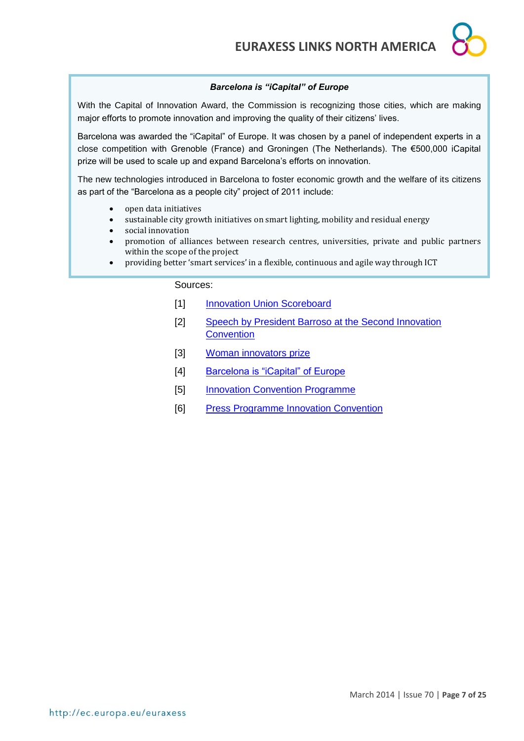#### *Barcelona is "iCapital" of Europe*

With the Capital of Innovation Award, the Commission is recognizing those cities, which are making major efforts to promote innovation and improving the quality of their citizens' lives.

Barcelona was awarded the "iCapital" of Europe. It was chosen by a panel of independent experts in a close competition with Grenoble (France) and Groningen (The Netherlands). The €500,000 iCapital prize will be used to scale up and expand Barcelona's efforts on innovation.

The new technologies introduced in Barcelona to foster economic growth and the welfare of its citizens as part of the "Barcelona as a people city" project of 2011 include:

- open data initiatives
- sustainable city growth initiatives on smart lighting, mobility and residual energy
- social innovation
- promotion of alliances between research centres, universities, private and public partners within the scope of the project
- providing better 'smart services' in a flexible, continuous and agile way through ICT

Sources:

- [1] Innovation [Union Scoreboard](http://ec.europa.eu/enterprise/policies/innovation/policy/innovation-scoreboard/index_en.htm)
- [2] [Speech by President Barroso at the Second Innovation](http://europa.eu/rapid/press-release_SPEECH-14-198_en.htm)  **[Convention](http://europa.eu/rapid/press-release_SPEECH-14-198_en.htm)**
- [3] [Woman innovators prize](http://europa.eu/rapid/press-release_IP-14-225_en.htm)
- [4] [Barcelona is "iCapital" of Europe](http://europa.eu/rapid/press-release_IP-14-239_en.htm)
- [5] [Innovation Convention Programme](http://ec.europa.eu/research/innovation-union/pdf/ic2014/Innovation_Convention_Programme_2014.pdf#view=fit&pagemode=none)
- [6] [Press Programme Innovation Convention](http://ec.europa.eu/research/innovation-union/pdf/ic2014/PressPack.pdf)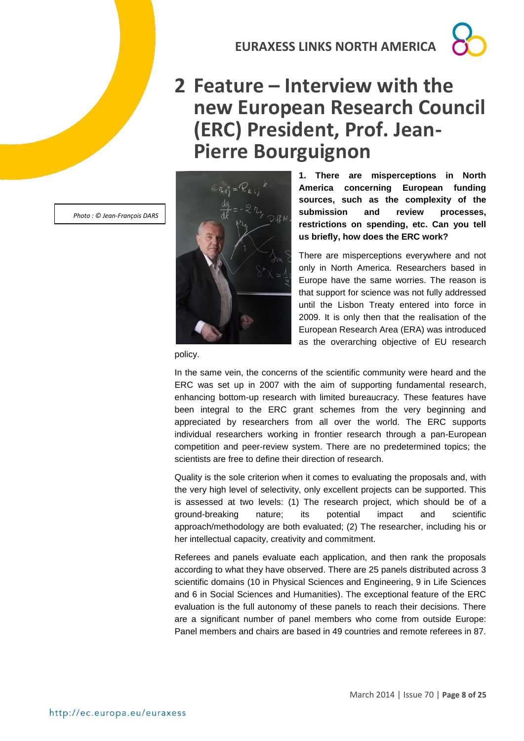# **2 Feature – Interview with the new European Research Council (ERC) President, Prof. Jean-Pierre Bourguignon**



**1. There are misperceptions in North America concerning European funding sources, such as the complexity of the submission and review processes, restrictions on spending, etc. Can you tell us briefly, how does the ERC work?**

There are misperceptions everywhere and not only in North America. Researchers based in Europe have the same worries. The reason is that support for science was not fully addressed until the Lisbon Treaty entered into force in 2009. It is only then that the realisation of the European Research Area (ERA) was introduced as the overarching objective of EU research

policy.

In the same vein, the concerns of the scientific community were heard and the ERC was set up in 2007 with the aim of supporting fundamental research, enhancing bottom-up research with limited bureaucracy*.* These features have been integral to the ERC grant schemes from the very beginning and appreciated by researchers from all over the world. The ERC supports individual researchers working in frontier research through a pan-European competition and peer-review system. There are no predetermined topics; the scientists are free to define their direction of research.

Quality is the sole criterion when it comes to evaluating the proposals and, with the very high level of selectivity, only excellent projects can be supported. This is assessed at two levels: (1) The research project, which should be of a ground-breaking nature; its potential impact and scientific approach/methodology are both evaluated; (2) The researcher, including his or her intellectual capacity, creativity and commitment.

Referees and panels evaluate each application, and then rank the proposals according to what they have observed. There are 25 panels distributed across 3 scientific domains (10 in Physical Sciences and Engineering, 9 in Life Sciences and 6 in Social Sciences and Humanities). The exceptional feature of the ERC evaluation is the full autonomy of these panels to reach their decisions. There are a significant number of panel members who come from outside Europe: Panel members and chairs are based in 49 countries and remote referees in 87.

*Photo : © Jean-François DARS*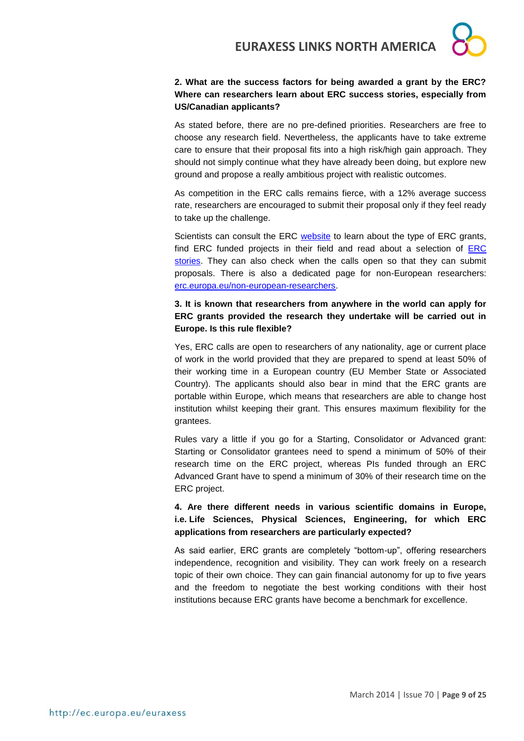

#### **2. What are the success factors for being awarded a grant by the ERC? Where can researchers learn about ERC success stories, especially from US/Canadian applicants?**

As stated before, there are no pre-defined priorities. Researchers are free to choose any research field. Nevertheless, the applicants have to take extreme care to ensure that their proposal fits into a high risk/high gain approach. They should not simply continue what they have already been doing, but explore new ground and propose a really ambitious project with realistic outcomes.

As competition in the ERC calls remains fierce, with a 12% average success rate, researchers are encouraged to submit their proposal only if they feel ready to take up the challenge.

Scientists can consult the ERC [website](http://erc.europa.eu/) to learn about the type of ERC grants, find ERC funded projects in their field and read about a selection of [ERC](http://erc.europa.eu/erc-stories)  [stories.](http://erc.europa.eu/erc-stories) They can also check when the calls open so that they can submit proposals. There is also a dedicated page for non-European researchers: [erc.europa.eu/non-european-researchers.](http://erc.europa.eu/non-european-researchers)

#### **3. It is known that researchers from anywhere in the world can apply for ERC grants provided the research they undertake will be carried out in Europe. Is this rule flexible?**

Yes, ERC calls are open to researchers of any nationality, age or current place of work in the world provided that they are prepared to spend at least 50% of their working time in a European country (EU Member State or Associated Country). The applicants should also bear in mind that the ERC grants are portable within Europe, which means that researchers are able to change host institution whilst keeping their grant. This ensures maximum flexibility for the grantees.

Rules vary a little if you go for a Starting, Consolidator or Advanced grant: Starting or Consolidator grantees need to spend a minimum of 50% of their research time on the ERC project, whereas PIs funded through an ERC Advanced Grant have to spend a minimum of 30% of their research time on the ERC project.

**4. Are there different needs in various scientific domains in Europe, i.e. Life Sciences, Physical Sciences, Engineering, for which ERC applications from researchers are particularly expected?**

As said earlier, ERC grants are completely "bottom-up", offering researchers independence, recognition and visibility. They can work freely on a research topic of their own choice. They can gain financial autonomy for up to five years and the freedom to negotiate the best working conditions with their host institutions because ERC grants have become a benchmark for excellence.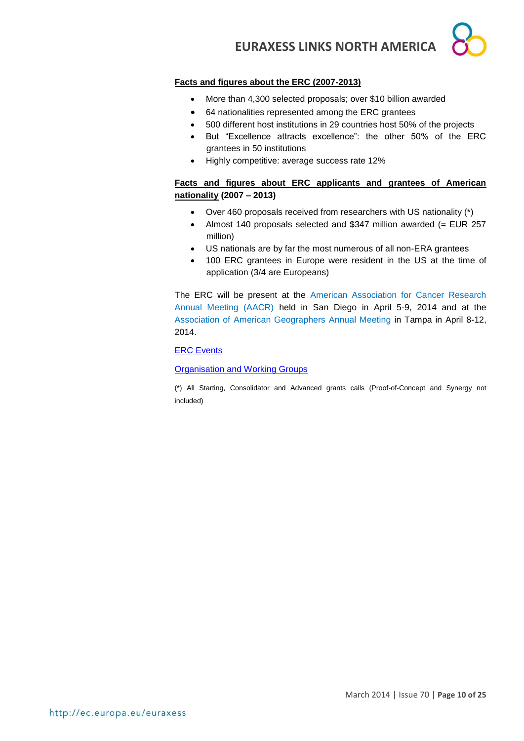#### **Facts and figures about the ERC (2007-2013)**

- More than 4,300 selected proposals; over \$10 billion awarded
- 64 nationalities represented among the ERC grantees
- 500 different host institutions in 29 countries host 50% of the projects
- But "Excellence attracts excellence": the other 50% of the ERC grantees in 50 institutions
- $\bullet$  Highly competitive: average success rate 12%

#### **Facts and figures about ERC applicants and grantees of American nationality (2007 – 2013)**

- Over 460 proposals received from researchers with US nationality (\*)
- Almost 140 proposals selected and \$347 million awarded (= EUR 257 million)
- US nationals are by far the most numerous of all non-ERA grantees
- 100 ERC grantees in Europe were resident in the US at the time of application (3/4 are Europeans)

The ERC will be present at the [American Association for Cancer Research](http://erc.europa.eu/media-and-events/events)  [Annual Meeting \(AACR\)](http://erc.europa.eu/media-and-events/events) held in San Diego in April 5-9, 2014 and at the [Association of American Geographers Annual Meeting](http://erc.europa.eu/media-and-events/events/association-american-geographers-annual-meeting) in Tampa in April 8-12, 2014.

#### [ERC Events](http://erc.europa.eu/media-and-events/events)

#### **[Organisation and Working Groups](http://erc.europa.eu/about-erc/organisation-and-working-groups)**

(\*) All Starting, Consolidator and Advanced grants calls (Proof-of-Concept and Synergy not included)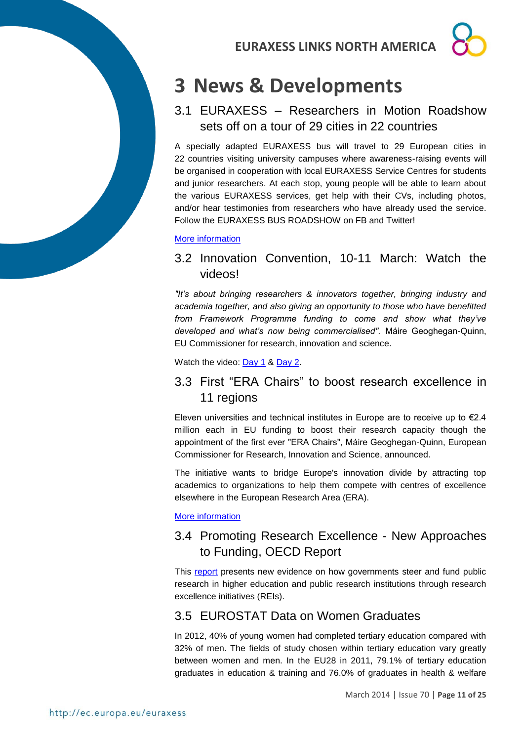# **3 News & Developments**

3.1 EURAXESS – Researchers in Motion Roadshow sets off on a tour of 29 cities in 22 countries

A specially adapted EURAXESS bus will travel to 29 European cities in 22 countries visiting university campuses where awareness-raising events will be organised in cooperation with local EURAXESS Service Centres for students and junior researchers. At each stop, young people will be able to learn about the various EURAXESS services, get help with their CVs, including photos, and/or hear testimonies from researchers who have already used the service. Follow the EURAXESS BUS ROADSHOW on FB and Twitter!

#### [More information](http://ec.europa.eu/euraxess/index.cfm/rights/singleNews/1211)

### 3.2 Innovation Convention, 10-11 March: Watch the videos!

*"It's about bringing researchers & innovators together, bringing industry and academia together, and also giving an opportunity to those who have benefitted from Framework Programme funding to come and show what they've developed and what's now being commercialised".* Máire Geoghegan-Quinn, EU Commissioner for research, innovation and science.

Watch the video: [Day 1](http://www.youtube.com/watch?v=zjJYPRuJKMQ) & [Day 2.](http://www.youtube.com/watch?v=u5z-ohxXbGQ)

### 3.3 First "ERA Chairs" to boost research excellence in 11 regions

Eleven universities and technical institutes in Europe are to receive up to  $\epsilon$ 2.4 million each in EU funding to boost their research capacity though the appointment of the first ever "ERA Chairs", Máire Geoghegan-Quinn, European Commissioner for Research, Innovation and Science, announced.

The initiative wants to bridge Europe's innovation divide by attracting top academics to organizations to help them compete with centres of excellence elsewhere in the European Research Area (ERA).

[More information](http://europa.eu/rapid/press-release_IP-14-125_en.htm)

### 3.4 Promoting Research Excellence - New Approaches to Funding, OECD Report

This [report](http://www.keepeek.com/Digital-Asset-Management/oecd/science-and-technology/promoting-research-excellence_9789264207462-en#page1) presents new evidence on how governments steer and fund public research in higher education and public research institutions through research excellence initiatives (REIs).

### 3.5 EUROSTAT Data on Women Graduates

In 2012, 40% of young women had completed tertiary education compared with 32% of men. The fields of study chosen within tertiary education vary greatly between women and men. In the EU28 in 2011, 79.1% of tertiary education graduates in education & training and 76.0% of graduates in health & welfare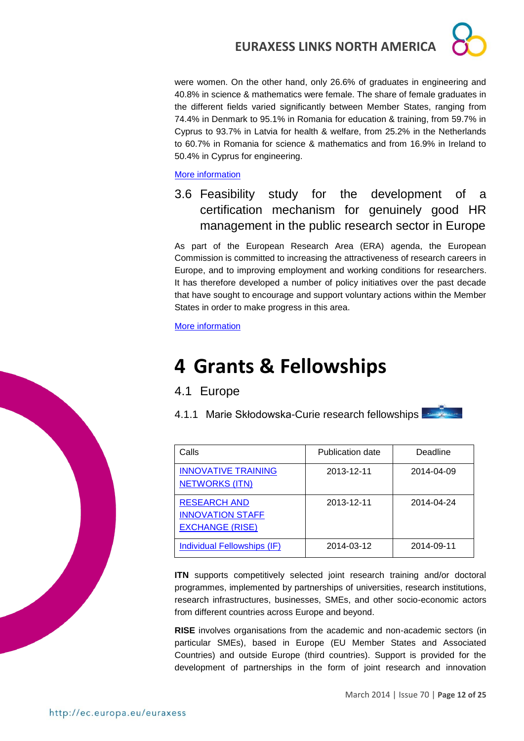were women. On the other hand, only 26.6% of graduates in engineering and 40.8% in science & mathematics were female. The share of female graduates in the different fields varied significantly between Member States, ranging from 74.4% in Denmark to 95.1% in Romania for education & training, from 59.7% in Cyprus to 93.7% in Latvia for health & welfare, from 25.2% in the Netherlands to 60.7% in Romania for science & mathematics and from 16.9% in Ireland to 50.4% in Cyprus for engineering.

[More information](http://epp.eurostat.ec.europa.eu/cache/ITY_PUBLIC/3-07032014-BP/EN/3-07032014-BP-EN.PDF)

3.6 Feasibility study for the development of a certification mechanism for genuinely good HR management in the public research sector in Europe

As part of the European Research Area (ERA) agenda, the European Commission is committed to increasing the attractiveness of research careers in Europe, and to improving employment and working conditions for researchers. It has therefore developed a number of policy initiatives over the past decade that have sought to encourage and support voluntary actions within the Member States in order to make progress in this area.

[More information](http://ec.europa.eu/euraxess/pdf/hrs4r/K3_X20_Final_Report_revised.pdf)

# **4 Grants & Fellowships**

- 4.1 Europe
- 4.1.1 Marie Skłodowska-Curie research fellowships

| Calls                                                                    | Publication date | Deadline   |
|--------------------------------------------------------------------------|------------------|------------|
| <b>INNOVATIVE TRAINING</b><br><b>NETWORKS (ITN)</b>                      | 2013-12-11       | 2014-04-09 |
| <b>RESEARCH AND</b><br><b>INNOVATION STAFF</b><br><b>EXCHANGE (RISE)</b> | 2013-12-11       | 2014-04-24 |
| Individual Fellowships (IF)                                              | 2014-03-12       | 2014-09-11 |

**ITN** supports competitively selected joint research training and/or doctoral programmes, implemented by partnerships of universities, research institutions, research infrastructures, businesses, SMEs, and other socio-economic actors from different countries across Europe and beyond.

**RISE** involves organisations from the academic and non-academic sectors (in particular SMEs), based in Europe (EU Member States and Associated Countries) and outside Europe (third countries). Support is provided for the development of partnerships in the form of joint research and innovation

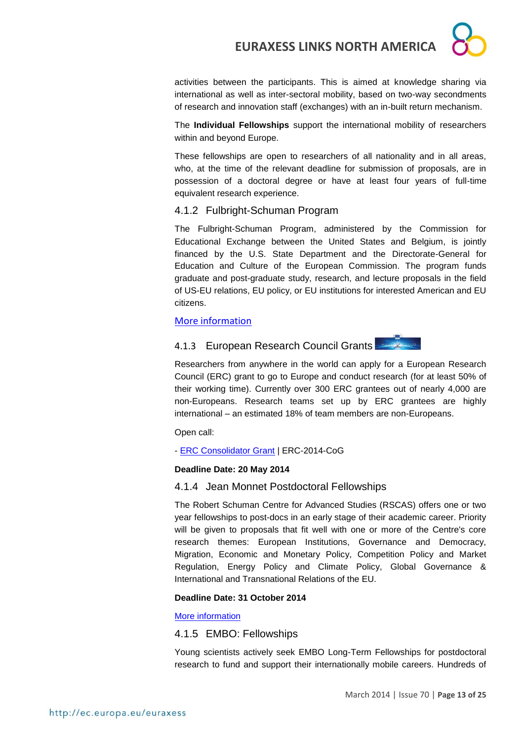activities between the participants. This is aimed at knowledge sharing via international as well as inter-sectoral mobility, based on two-way secondments of research and innovation staff (exchanges) with an in-built return mechanism.

The **Individual Fellowships** support the international mobility of researchers within and beyond Europe.

These fellowships are open to researchers of all nationality and in all areas, who, at the time of the relevant deadline for submission of proposals, are in possession of a doctoral degree or have at least four years of full-time equivalent research experience.

#### 4.1.2 Fulbright-Schuman Program

The Fulbright-Schuman Program, administered by the Commission for Educational Exchange between the United States and Belgium, is jointly financed by the U.S. State Department and the Directorate-General for Education and Culture of the European Commission. The program funds graduate and post-graduate study, research, and lecture proposals in the field of US-EU relations, EU policy, or EU institutions for interested American and EU citizens.

#### [More information](http://www.fulbrightschuman.eu/)

### 4.1.3 European Research Council Grants



Researchers from anywhere in the world can apply for a European Research Council (ERC) grant to go to Europe and conduct research (for at least 50% of their working time). Currently over 300 ERC grantees out of nearly 4,000 are non-Europeans. Research teams set up by ERC grantees are highly international – an estimated 18% of team members are non-Europeans.

Open call:

- [ERC Consolidator Grant](http://ec.europa.eu/research/participants/portal/desktop/en/opportunities/h2020/calls/erc-2014-cog.html) | ERC-2014-CoG

#### **Deadline Date: 20 May 2014**

#### 4.1.4 Jean Monnet Postdoctoral Fellowships

The Robert Schuman Centre for Advanced Studies (RSCAS) offers one or two year fellowships to post-docs in an early stage of their academic career. Priority will be given to proposals that fit well with one or more of the Centre's core research themes: European Institutions, Governance and Democracy, Migration, Economic and Monetary Policy, Competition Policy and Market Regulation, Energy Policy and Climate Policy, Global Governance & International and Transnational Relations of the EU.

#### **Deadline Date: 31 October 2014**

#### [More information](http://www.eui.eu/ServicesAndAdmin/AcademicService/Fellowships/JeanMonnetFellowships/Index.aspx)

4.1.5 EMBO: Fellowships

Young scientists actively seek EMBO Long-Term Fellowships for postdoctoral research to fund and support their internationally mobile careers. Hundreds of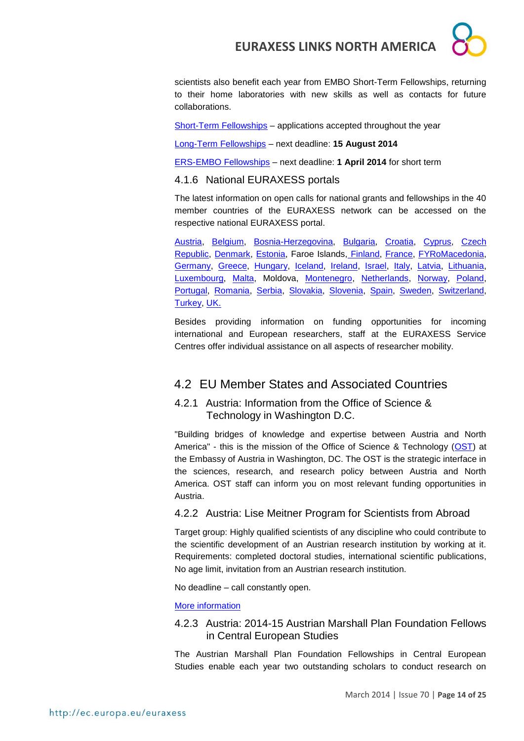

scientists also benefit each year from EMBO Short-Term Fellowships, returning to their home laboratories with new skills as well as contacts for future collaborations.

[Short-Term Fellowships](http://www.embo.org/funding-awards/fellowships/short-term-fellowships) – applications accepted throughout the year

[Long-Term Fellowships](http://www.embo.org/funding-awards/fellowships/long-term-fellowships) – next deadline: **15 August 2014**

[ERS-EMBO Fellowships](http://www.embo.org/funding-awards/fellowships/ers-embo-fellowships) – next deadline: **1 April 2014** for short term

#### 4.1.6 National EURAXESS portals

The latest information on open calls for national grants and fellowships in the 40 member countries of the EURAXESS network can be accessed on the respective national EURAXESS portal.

[Austria,](http://www.euraxess.at/funding/) [Belgium,](http://www.euraxess.be/) [Bosnia-Herzegovina,](http://www.euraxess.ba/index.php?sec=22) [Bulgaria,](http://euraxess.bg/category/services/funding) [Croatia,](http://www.euraxess.hr/sitegenius/topic.php?id=297) [Cyprus,](http://www.euraxess.org.cy/services.shtm) [Czech](http://www.euraxess.cz/euraxess-services/)  [Republic,](http://www.euraxess.cz/euraxess-services/) [Denmark,](http://euraxess.dk/research-funding) [Estonia,](http://euraxess.ee/grants-fellowships/) Faroe Islands, [Finland,](http://www.aka.fi/en-GB/Mobility/Research-funding2/) [France,](http://ec.europa.eu/euraxess/np/france/index_en.html) [FYRoMacedonia,](http://euraxess.mk/content/incoming-researchers) [Germany,](http://www.euraxess.de/portal/funding_database.html) [Greece,](http://library.certh.gr/pls/rmp/mobility.fellowships_grants) [Hungary,](http://euraxess-hungary.hu/en/fellowships-and-grants.html) [Iceland,](http://www.euraxess.is/fellowships-and-grants/) [Ireland,](http://www.euraxess.ie/academic/default.aspx) [Israel,](http://www.euraxess.gov.il/UI/Main/FellowshipsAndGrants.aspx) [Italy,](http://www.euraxess.it/services/types.php?pag=mobility_programs) [Latvia,](http://www.euraxess.lv/en/lapa/114/EURAXESS_Latvia_Services_Centre) [Lithuania,](http://www.euraxess.lt/content/grant.php) [Luxembourg,](http://www.euraxess.lu/eng/Funding) [Malta,](http://www.euraxess.org.mt/index.php/fellowships-a-grants) Moldova, [Montenegro,](http://www.euraxess.me/sitegenius/topic.php?id=276) [Netherlands,](http://www.euraxess.nl/service-centres) [Norway,](http://www.euraxess.no/prognett-euraxess/Funding/1229697992538) [Poland,](http://www.euraxess.pl/index.php/jobs) [Portugal,](http://www.euraxess.pt/services/) [Romania,](http://euraxess.gov.ro/en/research-funding.html) [Serbia,](http://www.euraxess.rs/sitegenius/topic.php?id=251) [Slovakia,](http://www.euraxess.sk/en/main/grants-and-scholarships) [Slovenia,](http://www.euraxess.si/en/fellowships.aspx) [Spain,](http://www.euraxess.es/eng/jobs/european-fellowships) [Sweden,](http://www.euraxess.se/) [Switzerland,](http://www.euraxess.ch/maincontent/fellowships-grants.html) [Turkey,](http://euraxess.tubitak.gov.tr/euraxess/) [UK.](http://www.britishcouncil.org/new/euraxess/euraxess-working-funding/)

Besides providing information on funding opportunities for incoming international and European researchers, staff at the EURAXESS Service Centres offer individual assistance on all aspects of researcher mobility.

### 4.2 EU Member States and Associated Countries

#### 4.2.1 Austria: Information from the Office of Science & Technology in Washington D.C.

"Building bridges of knowledge and expertise between Austria and North America" - this is the mission of the Office of Science & Technology [\(OST\)](http://www.ostina.org/) at the Embassy of Austria in Washington, DC. The OST is the strategic interface in the sciences, research, and research policy between Austria and North America. OST staff can inform you on most relevant funding opportunities in Austria.

#### 4.2.2 Austria: Lise Meitner Program for Scientists from Abroad

Target group: Highly qualified scientists of any discipline who could contribute to the scientific development of an Austrian research institution by working at it. Requirements: completed doctoral studies, international scientific publications, No age limit, invitation from an Austrian research institution.

No deadline – call constantly open.

[More information](http://www.fwf.ac.at/en/projects/meitner.html)

#### 4.2.3 Austria: 2014-15 Austrian Marshall Plan Foundation Fellows in Central European Studies

The Austrian Marshall Plan Foundation Fellowships in Central European Studies enable each year two outstanding scholars to conduct research on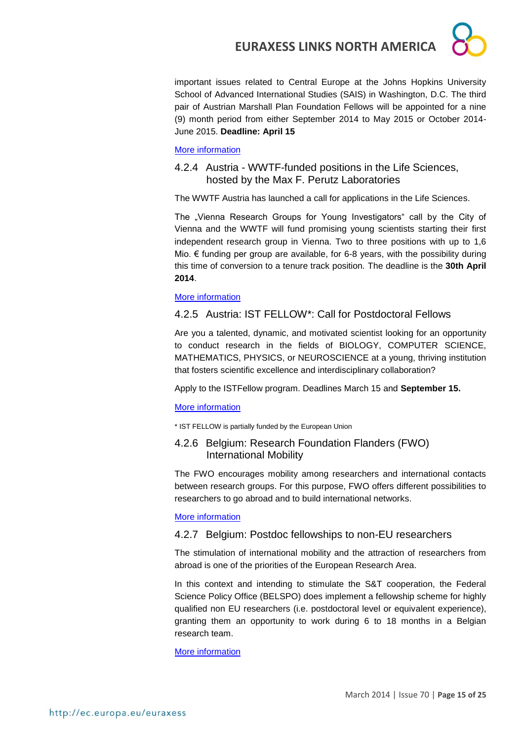important issues related to Central Europe at the Johns Hopkins University School of Advanced International Studies (SAIS) in Washington, D.C. The third pair of Austrian Marshall Plan Foundation Fellows will be appointed for a nine (9) month period from either September 2014 to May 2015 or October 2014- June 2015. **Deadline: April 15**

#### [More information](http://www.marshallplan.at/index.php/application-sais)

#### 4.2.4 Austria - WWTF-funded positions in the Life Sciences, hosted by the Max F. Perutz Laboratories

The WWTF Austria has launched a call for applications in the Life Sciences.

The "Vienna Research Groups for Young Investigators" call by the City of Vienna and the WWTF will fund promising young scientists starting their first independent research group in Vienna. Two to three positions with up to 1,6 Mio.  $€$  funding per group are available, for 6-8 years, with the possibility during this time of conversion to a tenure track position. The deadline is the **30th April 2014**.

#### [More information](http://www.wwtf.at/programmes/ls/index)

#### 4.2.5 Austria: IST FELLOW\*: Call for Postdoctoral Fellows

Are you a talented, dynamic, and motivated scientist looking for an opportunity to conduct research in the fields of BIOLOGY, COMPUTER SCIENCE, MATHEMATICS, PHYSICS, or NEUROSCIENCE at a young, thriving institution that fosters scientific excellence and interdisciplinary collaboration?

Apply to the ISTFellow program. Deadlines March 15 and **September 15.**

#### [More information](http://www.ist.ac.at/istfellow)

\* IST FELLOW is partially funded by the European Union

#### 4.2.6 Belgium: Research Foundation Flanders (FWO) International Mobility

The FWO encourages mobility among researchers and international contacts between research groups. For this purpose, FWO offers different possibilities to researchers to go abroad and to build international networks.

#### [More information](http://www.fwo.be/en/fellowships-funding/international-mobility/)

#### 4.2.7 Belgium: Postdoc fellowships to non-EU researchers

The stimulation of international mobility and the attraction of researchers from abroad is one of the priorities of the European Research Area.

In this context and intending to stimulate the S&T cooperation, the Federal Science Policy Office (BELSPO) does implement a fellowship scheme for highly qualified non EU researchers (i.e. postdoctoral level or equivalent experience), granting them an opportunity to work during 6 to 18 months in a Belgian research team.

#### [More information](http://www.belspo.be/belspo/organisation/call_postdoc_en.stm)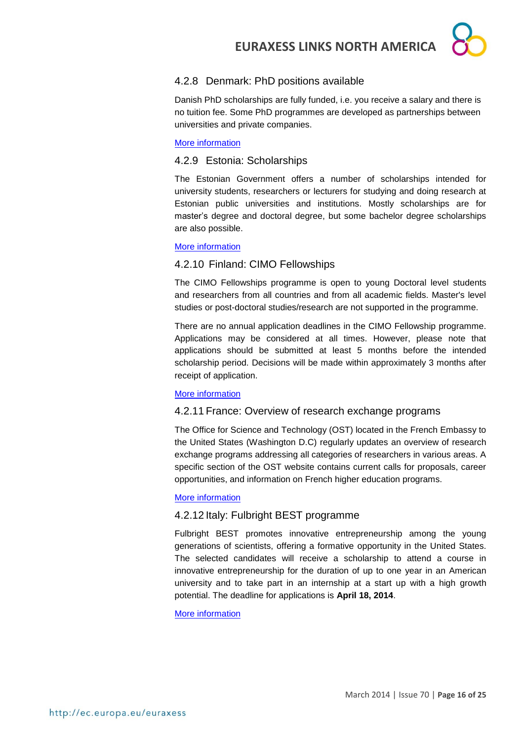

#### 4.2.8 Denmark: PhD positions available

Danish PhD scholarships are fully funded, i.e. you receive a salary and there is no tuition fee. Some PhD programmes are developed as partnerships between universities and private companies.

#### [More information](http://studyindenmark.dk/study-options/phd-positions-1)

#### 4.2.9 Estonia: Scholarships

The Estonian Government offers a number of scholarships intended for university students, researchers or lecturers for studying and doing research at Estonian public universities and institutions. Mostly scholarships are for master's degree and doctoral degree, but some bachelor degree scholarships are also possible.

#### [More information](http://www.studyinestonia.ee/study/scholarships)

#### 4.2.10 Finland: CIMO Fellowships

The CIMO Fellowships programme is open to young Doctoral level students and researchers from all countries and from all academic fields. Master's level studies or post-doctoral studies/research are not supported in the programme.

There are no annual application deadlines in the CIMO Fellowship programme. Applications may be considered at all times. However, please note that applications should be submitted at least 5 months before the intended scholarship period. Decisions will be made within approximately 3 months after receipt of application.

#### [More information](http://www.studyinfinland.fi/tuition_and_scholarships/cimo_scholarships/cimo_fellowships)

#### 4.2.11 France: Overview of research exchange programs

The Office for Science and Technology (OST) located in the French Embassy to the United States (Washington D.C) regularly updates an overview of research exchange programs addressing all categories of researchers in various areas. A specific section of the OST website contains current calls for proposals, career opportunities, and information on French higher education programs.

#### [More information](http://france-science.org/USA-France-Mobility-Schemes.html)

#### 4.2.12 Italy: Fulbright BEST programme

Fulbright BEST promotes innovative entrepreneurship among the young generations of scientists, offering a formative opportunity in the United States. The selected candidates will receive a scholarship to attend a course in innovative entrepreneurship for the duration of up to one year in an American university and to take part in an internship at a start up with a high growth potential. The deadline for applications is **April 18, 2014**.

#### [More information](http://www.fulbright.it/it/news/programma-best-pubblicato-bando-di-concorso-per-la.a.-2014-15)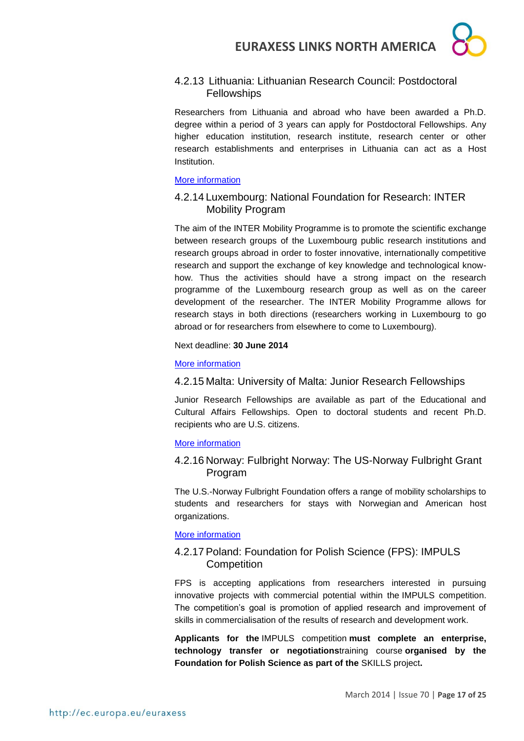#### 4.2.13 Lithuania: Lithuanian Research Council: Postdoctoral **Fellowships**

Researchers from Lithuania and abroad who have been awarded a Ph.D. degree within a period of 3 years can apply for Postdoctoral Fellowships. Any higher education institution, research institute, research center or other research establishments and enterprises in Lithuania can act as a Host Institution.

#### [More information](http://www.lmt.lt/en/rnd/fellowships.html)

#### 4.2.14 Luxembourg: National Foundation for Research: INTER Mobility Program

The aim of the INTER Mobility Programme is to promote the scientific exchange between research groups of the Luxembourg public research institutions and research groups abroad in order to foster innovative, internationally competitive research and support the exchange of key knowledge and technological knowhow. Thus the activities should have a strong impact on the research programme of the Luxembourg research group as well as on the career development of the researcher. The INTER Mobility Programme allows for research stays in both directions (researchers working in Luxembourg to go abroad or for researchers from elsewhere to come to Luxembourg).

Next deadline: **30 June 2014**

#### [More information](http://www.fnr.lu/en/Research-Programmes/Research-Programmes/Calls/INTER-Mobility-Programme-Call-for-Proposals)

#### 4.2.15 Malta: University of Malta: Junior Research Fellowships

Junior Research Fellowships are available as part of the Educational and Cultural Affairs Fellowships. Open to doctoral students and recent Ph.D. recipients who are U.S. citizens.

#### [More information](http://www.amscan.org/study_scandinavia_details.html)

#### 4.2.16 Norway: Fulbright Norway: The US-Norway Fulbright Grant Program

The U.S.-Norway Fulbright Foundation offers a range of mobility scholarships to students and researchers for stays with Norwegian and American host organizations.

#### [More information](http://www.fulbright.no/en/grants/)

#### 4.2.17 Poland: Foundation for Polish Science (FPS): IMPULS **Competition**

FPS is accepting applications from researchers interested in pursuing innovative projects with commercial potential within the [IMPULS competition.](http://www.fnp.org.pl/en/oferta/skills-konkurs-impuls-2/) The competition's goal is promotion of applied research and improvement of skills in commercialisation of the results of research and development work.

**Applicants for the** [IMPULS competition](http://www.fnp.org.pl/en/oferta/skills-konkurs-impuls-2/) **must complete an enterprise, technology transfer or negotiations**[training course](http://www.fnp.org.pl/en/oferta/skills-trainings/) **organised by the Foundation for Polish Science as part of the** [SKILLS project](http://www.fnp.org.pl/en/kategoria_szkolenia/the-skills-project/)**.**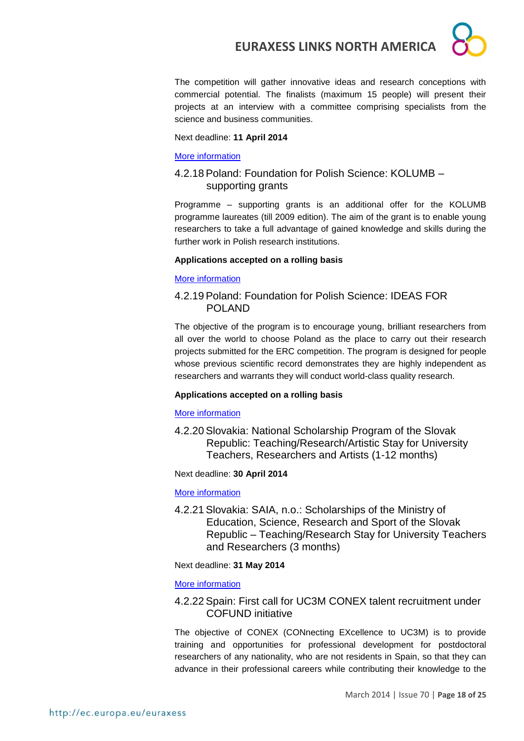

The competition will gather innovative ideas and research conceptions with commercial potential. The finalists (maximum 15 people) will present their projects at an interview with a committee comprising specialists from the science and business communities.

#### Next deadline: **11 April 2014**

#### [More information](http://www.fnp.org.pl/en/przedluzamy-termin-naboru-wnioskow-w-konkursie-impuls/)

#### 4.2.18 Poland: Foundation for Polish Science: KOLUMB – supporting grants

Programme – supporting grants is an additional offer for the KOLUMB programme laureates (till 2009 edition). The aim of the grant is to enable young researchers to take a full advantage of gained knowledge and skills during the further work in Polish research institutions.

#### **Applications accepted on a rolling basis**

#### [More information](http://www.fnp.org.pl/en/oferta/kolumb-granty-wspomagajace/)

#### 4.2.19 Poland: Foundation for Polish Science: IDEAS FOR POLAND

The objective of the program is to encourage young, brilliant researchers from all over the world to choose Poland as the place to carry out their research projects submitted for the ERC competition. The program is designed for people whose previous scientific record demonstrates they are highly independent as researchers and warrants they will conduct world-class quality research.

#### **Applications accepted on a rolling basis**

#### [More information](http://www.fnp.org.pl/en/oferta/ideas-for-poland/)

4.2.20 Slovakia: National Scholarship Program of the Slovak Republic: Teaching/Research/Artistic Stay for University Teachers, Researchers and Artists (1-12 months)

#### Next deadline: **30 April 2014**

#### [More information](http://grants.saia.sk/Pages/ProgramDetail.aspx?Program=299)

4.2.21 Slovakia: SAIA, n.o.: Scholarships of the Ministry of Education, Science, Research and Sport of the Slovak Republic – Teaching/Research Stay for University Teachers and Researchers (3 months)

#### Next deadline: **31 May 2014**

#### [More information](http://grants.saia.sk/Pages/ProgramDetail.aspx?Program=536)

#### 4.2.22 Spain: First call for UC3M CONEX talent recruitment under COFUND initiative

The objective of CONEX (CONnecting EXcellence to UC3M) is to provide training and opportunities for professional development for postdoctoral researchers of any nationality, who are not residents in Spain, so that they can advance in their professional careers while contributing their knowledge to the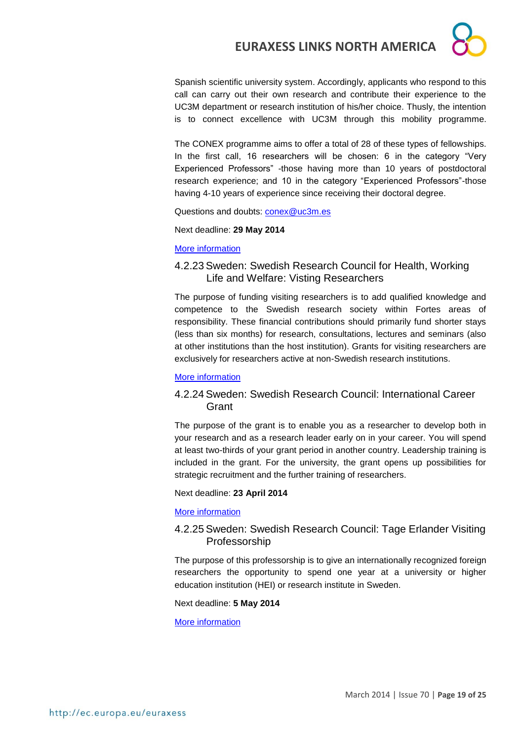Spanish scientific university system. Accordingly, applicants who respond to this call can carry out their own research and contribute their experience to the UC3M department or research institution of his/her choice. Thusly, the intention is to connect excellence with UC3M through this mobility programme.

The CONEX programme aims to offer a total of 28 of these types of fellowships. In the first call, 16 researchers will be chosen: 6 in the category "Very Experienced Professors" -those having more than 10 years of postdoctoral research experience; and 10 in the category "Experienced Professors"-those having 4-10 years of experience since receiving their doctoral degree.

Questions and doubts: [conex@uc3m.es](mailto:conex@uc3m.es)

Next deadline: **29 May 2014**

#### [More information](http://portal.uc3m.es/portal/page/portal/investigacion/Conex/first_call_applications)

#### 4.2.23 Sweden: Swedish Research Council for Health, Working Life and Welfare: Visting Researchers

The purpose of funding visiting researchers is to add qualified knowledge and competence to the Swedish research society within Fortes areas of responsibility. These financial contributions should primarily fund shorter stays (less than six months) for research, consultations, lectures and seminars (also at other institutions than the host institution). Grants for visiting researchers are exclusively for researchers active at non-Swedish research institutions.

#### [More information](http://www.forte.se/en/Calls-for-proposals/Open-calls/Visiting-researchers/)

#### 4.2.24 Sweden: Swedish Research Council: International Career Grant

The purpose of the grant is to enable you as a researcher to develop both in your research and as a research leader early on in your career. You will spend at least two-thirds of your grant period in another country. Leadership training is included in the grant. For the university, the grant opens up possibilities for strategic recruitment and the further training of researchers.

Next deadline: **23 April 2014**

[More information](http://www.vr.se/inenglish/researchfunding/applyforgrants/callforproposals/opengrants/internationalcareergrant.5.7e727b6e141e9ed702b12837.html)

#### 4.2.25 Sweden: Swedish Research Council: Tage Erlander Visiting Professorship

The purpose of this professorship is to give an internationally recognized foreign researchers the opportunity to spend one year at a university or higher education institution (HEI) or research institute in Sweden.

Next deadline: **5 May 2014**

[More information](http://www.vr.se/inenglish/researchfunding/applyforgrants/callforproposals/opengrants/tageerlandervisitingprofessorship.5.7e727b6e141e9ed702b13acd.html)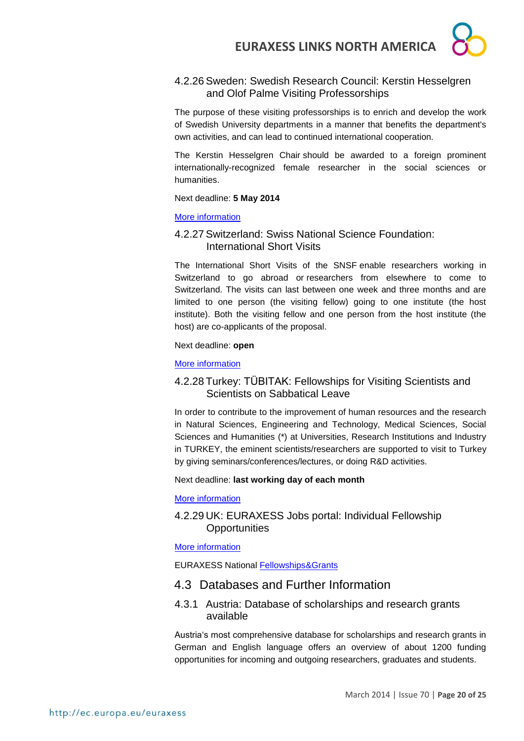#### 4.2.26 Sweden: Swedish Research Council: Kerstin Hesselgren and Olof Palme Visiting Professorships

The purpose of these visiting professorships is to enrich and develop the work of Swedish University departments in a manner that benefits the department's own activities, and can lead to continued international cooperation.

The Kerstin Hesselgren Chair should be awarded to a foreign prominent internationally-recognized female researcher in the social sciences or humanities.

#### Next deadline: **5 May 2014**

#### [More information](http://www.vr.se/inenglish/researchfunding/applyforgrants/callforproposals/opengrants/kerstinhesselgrenandolofpalmevisitingprofessorships.5.7e727b6e141e9ed702b13afe.html)

#### 4.2.27 Switzerland: Swiss National Science Foundation: International Short Visits

The International Short Visits of the SNSF enable researchers working in Switzerland to go abroad or researchers from elsewhere to come to Switzerland. The visits can last between one week and three months and are limited to one person (the visiting fellow) going to one institute (the host institute). Both the visiting fellow and one person from the host institute (the host) are co-applicants of the proposal.

#### Next deadline: **open**

#### [More information](http://www.snf.ch/SiteCollectionDocuments/int_eu_short_visits_e.pdf)

#### 4.2.28 Turkey: TÜBITAK: Fellowships for Visiting Scientists and Scientists on Sabbatical Leave

In order to contribute to the improvement of human resources and the research in Natural Sciences, Engineering and Technology, Medical Sciences, Social Sciences and Humanities (\*) at Universities, Research Institutions and Industry in TURKEY, the eminent scientists/researchers are supported to visit to Turkey by giving seminars/conferences/lectures, or doing R&D activities.

#### Next deadline: **last working day of each month**

#### [More information](http://www.tubitak.gov.tr/en/scholarship/postdoctoral/international-programmes/content-2221-fellowships-for-visiting-scientists-and-scientists-on-sabbatical-leave)

#### 4.2.29 UK: EURAXESS Jobs portal: Individual Fellowship **Opportunities**

[More information](http://ec.europa.eu/euraxess/index.cfm/jobs/fgNationalLevel/careerStage/0/country/1379/researchField/0/page/1)

EURAXESS National [Fellowships&Grants](http://ec.europa.eu/euraxess/index.cfm/jobs/fgNationalLevel)

#### 4.3 Databases and Further Information

#### 4.3.1 Austria: Database of scholarships and research grants available

Austria's most comprehensive database for scholarships and research grants in German and English language offers an overview of about 1200 funding opportunities for incoming and outgoing researchers, graduates and students.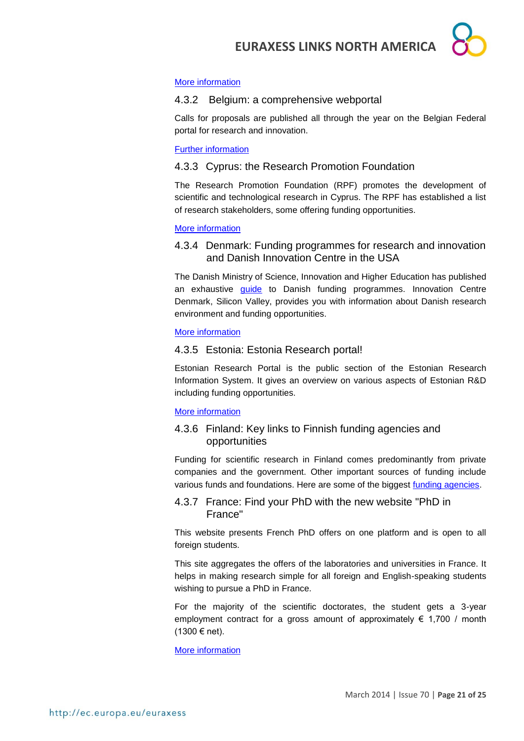

#### [More information](http://www.oead.at/index.php?id=737&L=1)

#### 4.3.2 Belgium: a comprehensive webportal

Calls for proposals are published all through the year on the Belgian Federal portal for research and innovation.

#### Further [information](http://www.research.be/ListURL/list.asp?KeyId=623&up=619)

#### 4.3.3 Cyprus: the Research Promotion Foundation

The Research Promotion Foundation (RPF) promotes the development of scientific and technological research in Cyprus. The RPF has established a list of research stakeholders, some offering funding opportunities.

#### [More information](http://www.research.org.cy/EN/user_info/useful_websites.html)

4.3.4 Denmark: Funding programmes for research and innovation and Danish Innovation Centre in the USA

The Danish Ministry of Science, Innovation and Higher Education has published an exhaustive [guide](http://fivu.dk/en/research-and-innovation/funding-programmes-for-research-and-innovation/guide-to-funding) to Danish funding programmes. Innovation Centre Denmark, Silicon Valley, provides you with information about Danish research environment and funding opportunities.

#### [More information](http://icdk.um.dk/en/about-us/innovationcentres/siliconvalley/)

#### 4.3.5 Estonia: Estonia Research portal!

Estonian Research Portal is the public section of the Estonian Research Information System. It gives an overview on various aspects of Estonian R&D including funding opportunities.

#### [More information](https://www.etis.ee/index.aspx?lang=en)

#### 4.3.6 Finland: Key links to Finnish funding agencies and opportunities

Funding for scientific research in Finland comes predominantly from private companies and the government. Other important sources of funding include various funds and foundations. Here are some of the biggest [funding agencies.](http://www.aka.fi/en-GB/Mobility/Research-funding2/)

#### 4.3.7 France: Find your PhD with the new website "PhD in France"

This website presents French PhD offers on one platform and is open to all foreign students.

This site aggregates the offers of the laboratories and universities in France. It helps in making research simple for all foreign and English-speaking students wishing to pursue a PhD in France.

For the majority of the scientific doctorates, the student gets a 3-year employment contract for a gross amount of approximately  $\epsilon$  1,700 / month (1300 € net).

[More information](http://www.phdinfrance.net/)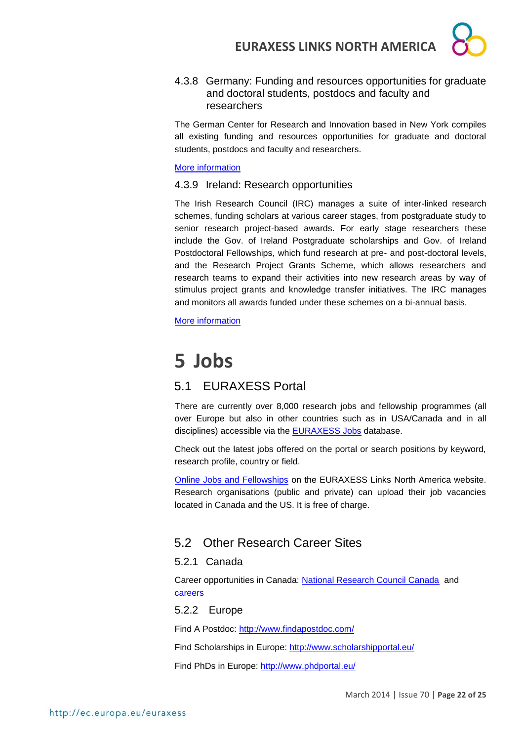

4.3.8 Germany: Funding and resources opportunities for graduate and doctoral students, postdocs and faculty and researchers

The German Center for Research and Innovation based in New York compiles all existing funding and resources opportunities for graduate and doctoral students, postdocs and faculty and researchers.

#### [More information](http://www.germaninnovation.org/resources/faculty-and-researchers)

#### 4.3.9 Ireland: Research opportunities

The Irish Research Council (IRC) manages a suite of inter-linked research schemes, funding scholars at various career stages, from postgraduate study to senior research project-based awards. For early stage researchers these include the Gov. of Ireland Postgraduate scholarships and Gov. of Ireland Postdoctoral Fellowships, which fund research at pre- and post-doctoral levels, and the Research Project Grants Scheme, which allows researchers and research teams to expand their activities into new research areas by way of stimulus project grants and knowledge transfer initiatives. The IRC manages and monitors all awards funded under these schemes on a bi-annual basis.

[More information](http://www.research.ie/funding-opportunities)

# **5 Jobs**

### 5.1 EURAXESS Portal

There are currently over 8,000 research jobs and fellowship programmes (all over Europe but also in other countries such as in USA/Canada and in all disciplines) accessible via the **EURAXESS Jobs** database.

Check out the latest jobs offered on the portal or search positions by keyword, research profile, country or field.

[Online Jobs and Fellowships](http://ec.europa.eu/euraxess/index.cfm/links/eurRes/north_america) on the EURAXESS Links North America website. Research organisations (public and private) can upload their job vacancies located in Canada and the US. It is free of charge.

### 5.2 Other Research Career Sites

#### 5.2.1 Canada

Career opportunities in Canada: [National Research Council Canada](http://www.nrc-cnrc.gc.ca/eng/careers/index.html) and [careers](http://oraweb.aucc.ca/pls/ua/ua_re)

5.2.2 Europe

Find A Postdoc:<http://www.findapostdoc.com/>

Find Scholarships in Europe:<http://www.scholarshipportal.eu/>

Find PhDs in Europe:<http://www.phdportal.eu/>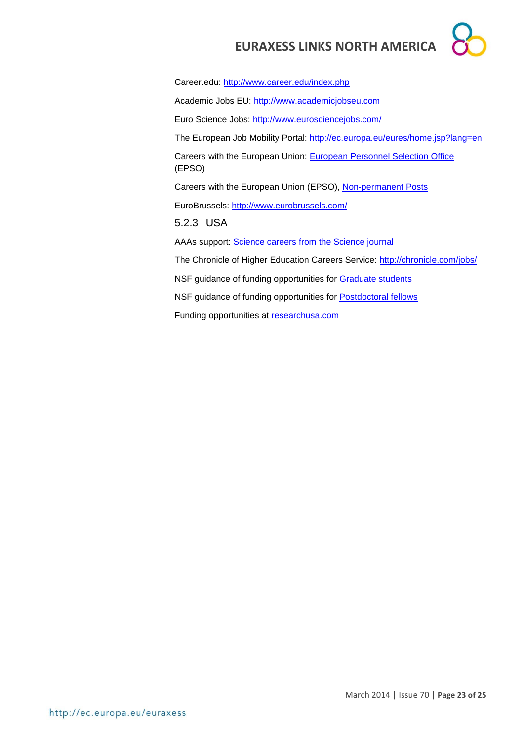Career.edu:<http://www.career.edu/index.php> Academic Jobs EU: [http://www.academicjobseu.com](http://www.academicjobseu.com/) Euro Science Jobs:<http://www.eurosciencejobs.com/> The European Job Mobility Portal:<http://ec.europa.eu/eures/home.jsp?lang=en> Careers with the European Union: [European Personnel Selection Office](http://europa.eu/epso/index_en.htm) (EPSO) Careers with the European Union (EPSO), [Non-permanent Posts](http://europa.eu/epso/apply/today/temporary_en.htm) EuroBrussels:<http://www.eurobrussels.com/> 5.2.3 USA AAAs support: [Science careers from the Science journal](http://sciencecareers.sciencemag.org/) The Chronicle of Higher Education Careers Service:<http://chronicle.com/jobs/> NSF guidance of funding opportunities for [Graduate students](http://www.nsf.gov/funding/education.jsp?fund_type=2) NSF guidance of funding opportunities for [Postdoctoral fellows](http://www.nsf.gov/funding/education.jsp?fund_type=3) Funding opportunities at [researchusa.com](http://www.researchresearch.com/index.php?option=com_content&view=article&id=21&Itemid=21)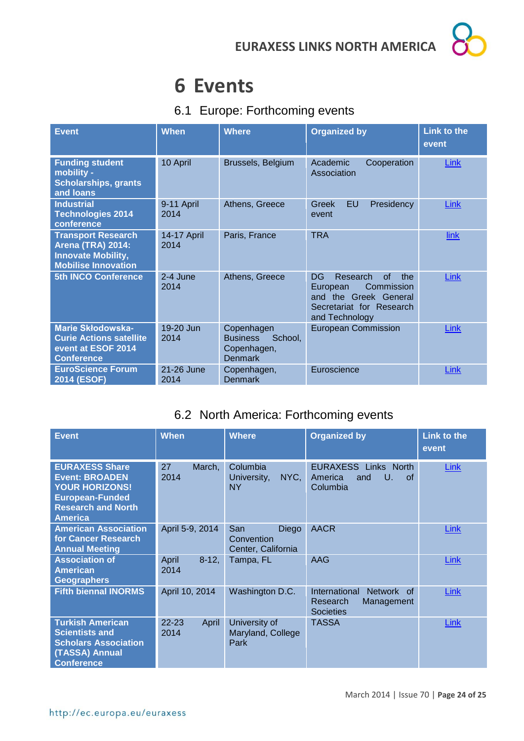# **6 Events**

### 6.1 Europe: Forthcoming events

| <b>Event</b>                                                                                                     | <b>When</b>         | <b>Where</b>                                                              | <b>Organized by</b>                                                                                                          | <b>Link to the</b><br>event |
|------------------------------------------------------------------------------------------------------------------|---------------------|---------------------------------------------------------------------------|------------------------------------------------------------------------------------------------------------------------------|-----------------------------|
| <b>Funding student</b><br>mobility -<br><b>Scholarships, grants</b><br>and loans                                 | 10 April            | Brussels, Belgium                                                         | Academic<br>Cooperation<br>Association                                                                                       | Link                        |
| <b>Industrial</b><br><b>Technologies 2014</b><br>conference                                                      | 9-11 April<br>2014  | Athens, Greece                                                            | <b>EU</b><br>Greek<br>Presidency<br>event                                                                                    | <b>Link</b>                 |
| <b>Transport Research</b><br><b>Arena (TRA) 2014:</b><br><b>Innovate Mobility,</b><br><b>Mobilise Innovation</b> | 14-17 April<br>2014 | Paris, France                                                             | <b>TRA</b>                                                                                                                   | link                        |
| <b>5th INCO Conference</b>                                                                                       | 2-4 June<br>2014    | Athens, Greece                                                            | of<br>DG<br>Research<br>the<br>Commission<br>European<br>and the Greek General<br>Secretariat for Research<br>and Technology | Link                        |
| <b>Marie Skłodowska-</b><br><b>Curie Actions satellite</b><br>event at ESOF 2014<br><b>Conference</b>            | 19-20 Jun<br>2014   | Copenhagen<br><b>Business</b><br>School,<br>Copenhagen,<br><b>Denmark</b> | <b>European Commission</b>                                                                                                   | Link                        |
| <b>EuroScience Forum</b><br>2014 (ESOF)                                                                          | 21-26 June<br>2014  | Copenhagen,<br><b>Denmark</b>                                             | Euroscience                                                                                                                  | Link                        |

## 6.2 North America: Forthcoming events

| <b>Event</b>                                                                                                                                     | <b>When</b>                | <b>Where</b>                                     | <b>Organized by</b>                                                                 | <b>Link to the</b><br>event |
|--------------------------------------------------------------------------------------------------------------------------------------------------|----------------------------|--------------------------------------------------|-------------------------------------------------------------------------------------|-----------------------------|
| <b>EURAXESS Share</b><br><b>Event: BROADEN</b><br><b>YOUR HORIZONS!</b><br><b>European-Funded</b><br><b>Research and North</b><br><b>America</b> | 27<br>March,<br>2014       | Columbia<br>NYC,<br>University,<br><b>NY</b>     | <b>EURAXESS Links North</b><br>America<br>and<br>U.<br>of.<br>Columbia              | <b>Link</b>                 |
| <b>American Association</b><br>for Cancer Research<br><b>Annual Meeting</b>                                                                      | April 5-9, 2014            | San<br>Diego<br>Convention<br>Center, California | <b>AACR</b>                                                                         | Link                        |
| <b>Association of</b><br><b>American</b><br>Geographers                                                                                          | $8-12,$<br>April<br>2014   | Tampa, FL                                        | AAG                                                                                 | <b>Link</b>                 |
| <b>Fifth biennal INORMS</b>                                                                                                                      | April 10, 2014             | Washington D.C.                                  | International<br><b>Network</b><br>of<br>Research<br>Management<br><b>Societies</b> | Link                        |
| <b>Turkish American</b><br><b>Scientists and</b><br><b>Scholars Association</b><br>(TASSA) Annual<br><b>Conference</b>                           | $22 - 23$<br>April<br>2014 | University of<br>Maryland, College<br>Park       | <b>TASSA</b>                                                                        | Link                        |